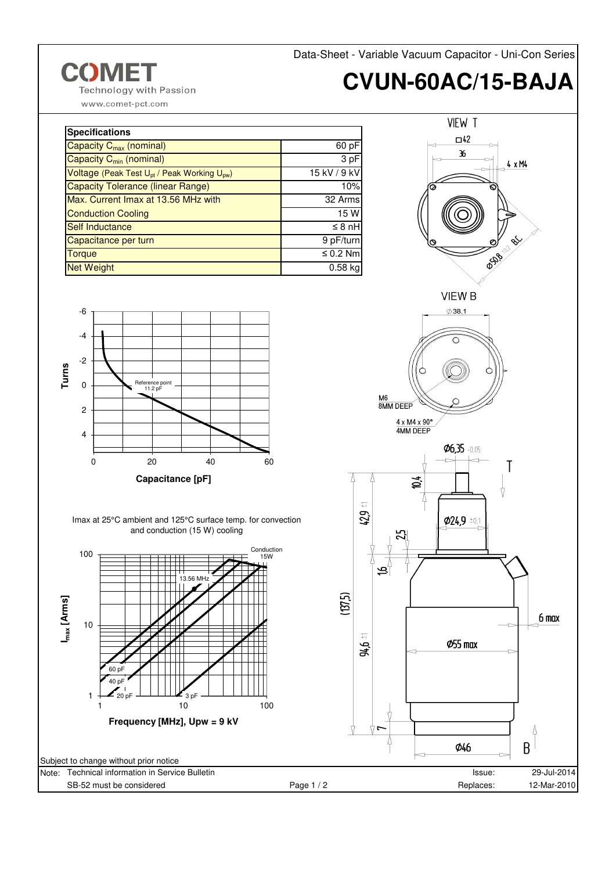Data-Sheet - Variable Vacuum Capacitor - Uni-Con Series

## **CVUN-60AC/15-BAJA**

**Technology with Passion** 

www.comet-pct.com

**COME** 

| <b>Specifications</b>                                               |               |  |  |  |
|---------------------------------------------------------------------|---------------|--|--|--|
| Capacity $C_{\text{max}}$ (nominal)                                 | 60 pF         |  |  |  |
| Capacity C <sub>min</sub> (nominal)                                 | 3 pF          |  |  |  |
| Voltage (Peak Test U <sub>pt</sub> / Peak Working U <sub>pw</sub> ) | 15 kV / 9 kV  |  |  |  |
| Capacity Tolerance (linear Range)                                   | 10%           |  |  |  |
| Max. Current Imax at 13.56 MHz with                                 | 32 Arms       |  |  |  |
| <b>Conduction Cooling</b>                                           | 15 W          |  |  |  |
| Self Inductance                                                     | $\leq 8$ nH   |  |  |  |
| Capacitance per turn                                                | 9 pF/turn     |  |  |  |
| <b>Torque</b>                                                       | $\leq$ 0.2 Nm |  |  |  |
| <b>Net Weight</b>                                                   | $0.58$ kg     |  |  |  |











 $Ø6,35 -0.05$ Τ  $\sum_{i=1}^{n}$  $\frac{1}{1}$ 42,9 Ø24,9 ±0,1 55

 $6 \text{ max}$ 

Ŀ  $\overline{B}$